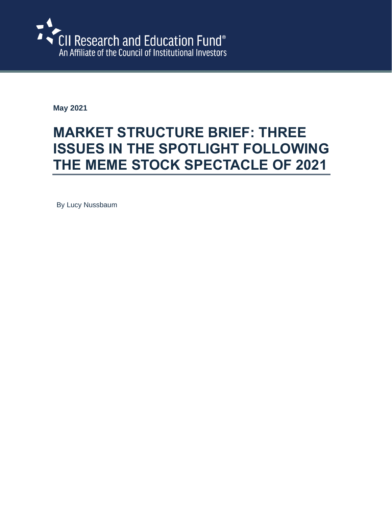

**May 2021**

# **MARKET STRUCTURE BRIEF: THREE ISSUES IN THE SPOTLIGHT FOLLOWING THE MEME STOCK SPECTACLE OF 2021**

By Lucy Nussbaum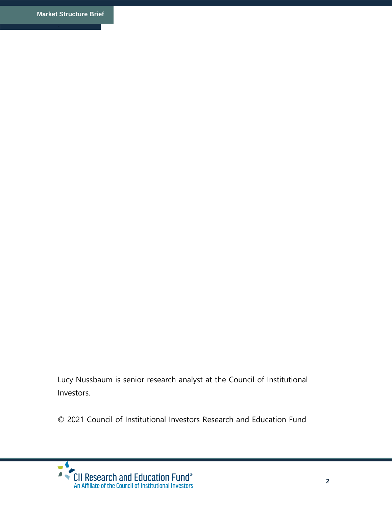Lucy Nussbaum is senior research analyst at the Council of Institutional Investors.

© 2021 Council of Institutional Investors Research and Education Fund

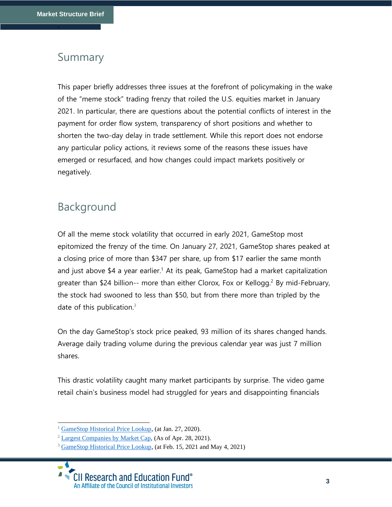#### Summary

This paper briefly addresses three issues at the forefront of policymaking in the wake of the "meme stock" trading frenzy that roiled the U.S. equities market in January 2021. In particular, there are questions about the potential conflicts of interest in the payment for order flow system, transparency of short positions and whether to shorten the two-day delay in trade settlement. While this report does not endorse any particular policy actions, it reviews some of the reasons these issues have emerged or resurfaced, and how changes could impact markets positively or negatively.

# Background

Of all the meme stock volatility that occurred in early 2021, GameStop most epitomized the frenzy of the time. On January 27, 2021, GameStop shares peaked at a closing price of more than \$347 per share, up from \$17 earlier the same month and just above \$4 a year earlier.<sup>1</sup> At its peak, GameStop had a market capitalization greater than \$24 billion-- more than either Clorox, Fox or Kellogg.<sup>2</sup> By mid-February, the stock had swooned to less than \$50, but from there more than tripled by the date of this publication. $3$ 

On the day GameStop's stock price peaked, 93 million of its shares changed hands. Average daily trading volume during the previous calendar year was just 7 million shares.

This drastic volatility caught many market participants by surprise. The video game retail chain's business model had struggled for years and disappointing financials

<sup>&</sup>lt;sup>1</sup> [GameStop Historical Price Lookup,](https://news.gamestop.com/stock-information/historical-price-lookup) (at Jan. 27, 2020).

<sup>2</sup> [Largest Companies by Market Cap,](https://companiesmarketcap.com/page/9/) (As of Apr. 28, 2021).

<sup>&</sup>lt;sup>3</sup> [GameStop Historical Price Lookup,](https://news.gamestop.com/stock-information/historical-price-lookup) (at Feb. 15, 2021 and May 4, 2021)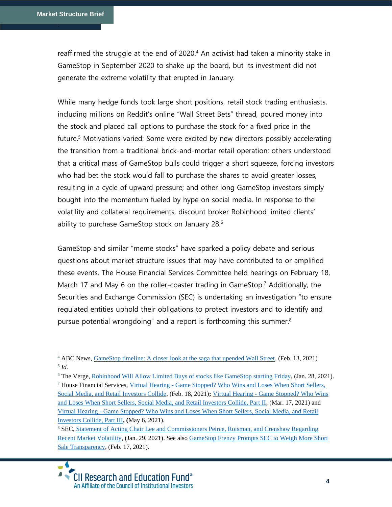reaffirmed the struggle at the end of 2020.<sup>4</sup> An activist had taken a minority stake in GameStop in September 2020 to shake up the board, but its investment did not generate the extreme volatility that erupted in January.

While many hedge funds took large short positions, retail stock trading enthusiasts, including millions on Reddit's online "Wall Street Bets" thread, poured money into the stock and placed call options to purchase the stock for a fixed price in the future. <sup>5</sup> Motivations varied: Some were excited by new directors possibly accelerating the transition from a traditional brick-and-mortar retail operation; others understood that a critical mass of GameStop bulls could trigger a short squeeze, forcing investors who had bet the stock would fall to purchase the shares to avoid greater losses, resulting in a cycle of upward pressure; and other long GameStop investors simply bought into the momentum fueled by hype on social media. In response to the volatility and collateral requirements, discount broker Robinhood limited clients' ability to purchase GameStop stock on January 28.<sup>6</sup>

GameStop and similar "meme stocks" have sparked a policy debate and serious questions about market structure issues that may have contributed to or amplified these events. The House Financial Services Committee held hearings on February 18, March 17 and May 6 on the roller-coaster trading in GameStop.<sup>7</sup> Additionally, the Securities and Exchange Commission (SEC) is undertaking an investigation "to ensure regulated entities uphold their obligations to protect investors and to identify and pursue potential wrongdoing" and a report is forthcoming this summer.<sup>8</sup>

<sup>&</sup>lt;sup>4</sup> ABC News, [GameStop timeline: A closer look at the saga that upended Wall Street,](https://abcnews.go.com/Business/gamestop-timeline-closer-saga-upended-wall-street/story?id=75617315) (Feb. 13, 2021) 5 *Id.* 

<sup>&</sup>lt;sup>6</sup> The Verge, Robinhood [Will Allow Limited Buys of stocks like GameStop starting Friday,](https://www.theverge.com/2021/1/28/22255031/robinhood-gamestop-stop-purchases-reddit-wsb-stock-market) (Jan. 28, 2021).

<sup>7</sup> House Financial Services, Virtual Hearing - [Game Stopped? Who Wins and Loses When Short Sellers,](https://financialservices.house.gov/calendar/eventsingle.aspx?EventID=407107)  [Social Media, and Retail Investors Collide,](https://financialservices.house.gov/calendar/eventsingle.aspx?EventID=407107) (Feb. 18, 2021)**;** Virtual Hearing - [Game Stopped? Who Wins](ttps://financialservices.house.gov/calendar/eventsingle.aspx?EventID=406268)  [and Loses When Short Sellers, Social Media, and Retail Investors Collide, Part II,](ttps://financialservices.house.gov/calendar/eventsingle.aspx?EventID=406268) (Mar. 17, 2021) and Virtual Hearing - [Game Stopped? Who Wins and Loses When Short Sellers, Social Media, and Retail](https://financialservices.house.gov/calendar/eventsingle.aspx?EventID=407748)  [Investors Collide, Part III](https://financialservices.house.gov/calendar/eventsingle.aspx?EventID=407748)**, (**May 6, 2021).

<sup>&</sup>lt;sup>8</sup> SEC, Statement of Acting Chair Lee and Commissioners Peirce, Roisman, and Crenshaw Regarding [Recent Market Volatility,](https://www.sec.gov/news/public-statement/joint-statement-market-volatility-2021-01-29) (Jan. 29, 2021). See also [GameStop Frenzy Prompts SEC to Weigh More Short](https://www.wsj.com/articles/gamestop-frenzy-prompts-sec-to-weigh-more-short-sale-transparency-11613593827)  [Sale Transparency,](https://www.wsj.com/articles/gamestop-frenzy-prompts-sec-to-weigh-more-short-sale-transparency-11613593827) (Feb. 17, 2021).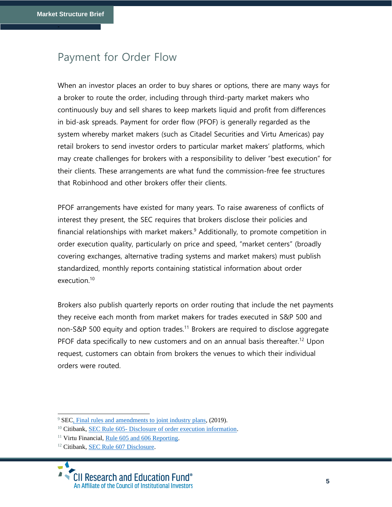### Payment for Order Flow

When an investor places an order to buy shares or options, there are many ways for a broker to route the order, including through third-party market makers who continuously buy and sell shares to keep markets liquid and profit from differences in bid-ask spreads. Payment for order flow (PFOF) is generally regarded as the system whereby market makers (such as Citadel Securities and Virtu Americas) pay retail brokers to send investor orders to particular market makers' platforms, which may create challenges for brokers with a responsibility to deliver "best execution" for their clients. These arrangements are what fund the commission-free fee structures that Robinhood and other brokers offer their clients.

PFOF arrangements have existed for many years. To raise awareness of conflicts of interest they present, the SEC requires that brokers disclose their policies and financial relationships with market makers. $9$  Additionally, to promote competition in order execution quality, particularly on price and speed, "market centers" (broadly covering exchanges, alternative trading systems and market makers) must publish standardized, monthly reports containing statistical information about order execution. 10

Brokers also publish quarterly reports on order routing that include the net payments they receive each month from market makers for trades executed in S&P 500 and non-S&P 500 equity and option trades.<sup>11</sup> Brokers are required to disclose aggregate PFOF data specifically to new customers and on an annual basis thereafter.<sup>12</sup> Upon request, customers can obtain from brokers the venues to which their individual orders were routed.

<sup>&</sup>lt;sup>9</sup> SE[C, Final rules and amendments to joint industry plans,](https://www.sec.gov/rules/final/34-51808.pdf) (2019).

<sup>&</sup>lt;sup>10</sup> Citibank, SEC Rule 605- [Disclosure of order execution information.](https://www.citibank.com/icg/about/assets/docs/SEC-Rule-605-Disclosure.pdf)

<sup>&</sup>lt;sup>11</sup> Virtu Financial, [Rule 605 and 606 Reporting.](https://www.virtu.com/about/transparency/rule-605-and-606-reporting/)

<sup>&</sup>lt;sup>12</sup> Citibank, [SEC Rule 607 Disclosure.](https://www.citi.com/icg/about/assets/docs/SEC-Rule-607-Disclosure.pdf)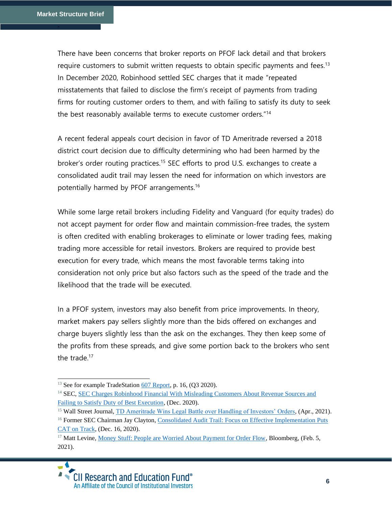There have been concerns that broker reports on PFOF lack detail and that brokers require customers to submit written requests to obtain specific payments and fees.<sup>13</sup> In December 2020, Robinhood settled SEC charges that it made "repeated misstatements that failed to disclose the firm's receipt of payments from trading firms for routing customer orders to them, and with failing to satisfy its duty to seek the best reasonably available terms to execute customer orders."<sup>14</sup>

A recent federal appeals court decision in favor of TD Ameritrade reversed a 2018 district court decision due to difficulty determining who had been harmed by the broker's order routing practices.<sup>15</sup> SEC efforts to prod U.S. exchanges to create a consolidated audit trail may lessen the need for information on which investors are potentially harmed by PFOF arrangements.<sup>16</sup>

While some large retail brokers including Fidelity and Vanguard (for equity trades) do not accept payment for order flow and maintain commission-free trades, the system is often credited with enabling brokerages to eliminate or lower trading fees, making trading more accessible for retail investors. Brokers are required to provide best execution for every trade, which means the most favorable terms taking into consideration not only price but also factors such as the speed of the trade and the likelihood that the trade will be executed.

In a PFOF system, investors may also benefit from price improvements. In theory, market makers pay sellers slightly more than the bids offered on exchanges and charge buyers slightly less than the ask on the exchanges. They then keep some of the profits from these spreads, and give some portion back to the brokers who sent the trade. $17$ 

<sup>&</sup>lt;sup>13</sup> See for example TradeStatio[n 607 Report,](https://uploads.tradestation.com/uploads/2020-Q3-SEC-Rule-606-607.pdf) p. 16, (Q3 2020).

<sup>&</sup>lt;sup>14</sup> SEC, SEC Charges Robinhood Financial With Misleading Customers About Revenue Sources and [Failing to Satisfy Duty of Best Execution,](https://www.sec.gov/news/press-release/2020-321) (Dec. 2020).

<sup>&</sup>lt;sup>15</sup> Wall Street Journal, *TD Ameritrade Wins Legal Battle over Handling of Investors' Orders*, (Apr., 2021).

<sup>&</sup>lt;sup>16</sup> Former SEC Chairman Jay Clayton, Consolidated Audit Trail: Focus on Effective Implementation Puts [CAT on Track,](https://www.sec.gov/news/public-statement/clayton-consolidated-audit-trail-2020-12-16) (Dec. 16, 2020).

<sup>&</sup>lt;sup>17</sup> Matt Levine, [Money Stuff: People are Worried About Payment for Order Flow,](https://www.bloomberg.com/news/newsletters/2021-02-05/robinhood-gamestop-saga-pressures-payment-for-order-flow-kksjpbpt?sref=RSguTU4K) Bloomberg, (Feb. 5, 2021).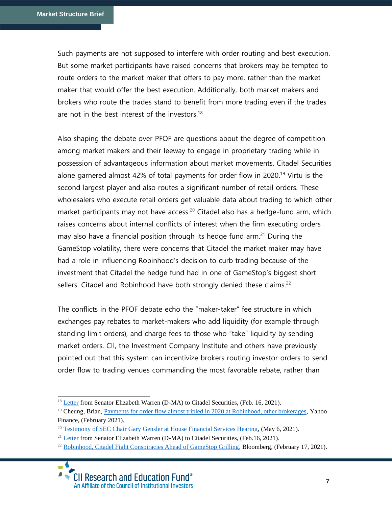Such payments are not supposed to interfere with order routing and best execution. But some market participants have raised concerns that brokers may be tempted to route orders to the market maker that offers to pay more, rather than the market maker that would offer the best execution. Additionally, both market makers and brokers who route the trades stand to benefit from more trading even if the trades are not in the best interest of the investors.<sup>18</sup>

Also shaping the debate over PFOF are questions about the degree of competition among market makers and their leeway to engage in proprietary trading while in possession of advantageous information about market movements. Citadel Securities alone garnered almost 42% of total payments for order flow in 2020.<sup>19</sup> Virtu is the second largest player and also routes a significant number of retail orders. These wholesalers who execute retail orders get valuable data about trading to which other market participants may not have access. <sup>20</sup> Citadel also has a hedge-fund arm, which raises concerns about internal conflicts of interest when the firm executing orders may also have a financial position through its hedge fund arm. <sup>21</sup> During the GameStop volatility, there were concerns that Citadel the market maker may have had a role in influencing Robinhood's decision to curb trading because of the investment that Citadel the hedge fund had in one of GameStop's biggest short sellers. Citadel and Robinhood have both strongly denied these claims.<sup>22</sup>

The conflicts in the PFOF debate echo the "maker-taker" fee structure in which exchanges pay rebates to market-makers who add liquidity (for example through standing limit orders), and charge fees to those who "take" liquidity by sending market orders. CII, the Investment Company Institute and others have previously pointed out that this system can incentivize brokers routing investor orders to send order flow to trading venues commanding the most favorable rebate, rather than

<sup>&</sup>lt;sup>18</sup> [Letter](https://www.warren.senate.gov/imo/media/doc/02.16.2021%20Letter%20from%20Senator%20Warren%20to%20Mr.%20Griffin%20(Updated).pdf) from Senator Elizabeth Warren (D-MA) to Citadel Securities, (Feb. 16, 2021).

<sup>&</sup>lt;sup>19</sup> Cheung, Brian, [Payments for order flow almost tripled in 2020 at Robinhood, other brokerages,](https://finance.yahoo.com/news/payments-for-order-flow-exploded-in-2020-215034948.html) Yahoo Finance, (February 2021).

<sup>&</sup>lt;sup>20</sup> [Testimony of SEC Chair Gary Gensler at House Financial Services Hearing,](https://docs.house.gov/meetings/BA/BA00/20210506/112590/HHRG-117-BA00-Wstate-GenslerG-20210506.pdf) (May 6, 2021).

<sup>&</sup>lt;sup>21</sup> [Letter](https://www.warren.senate.gov/imo/media/doc/02.16.2021%20Letter%20from%20Senator%20Warren%20to%20Mr.%20Griffin%20(Updated).pdf) from Senator Elizabeth Warren (D-MA) to Citadel Securities, (Feb.16, 2021).

<sup>&</sup>lt;sup>22</sup> [Robinhood, Citadel Fight Conspiracies Ahead of GameStop Grilling,](https://www.bloomberg.com/news/articles/2021-02-17/robinhood-s-tenev-tells-lawmakers-no-aid-provided-to-hedge-funds?sref=RSguTU4K) Bloomberg, (February 17, 2021).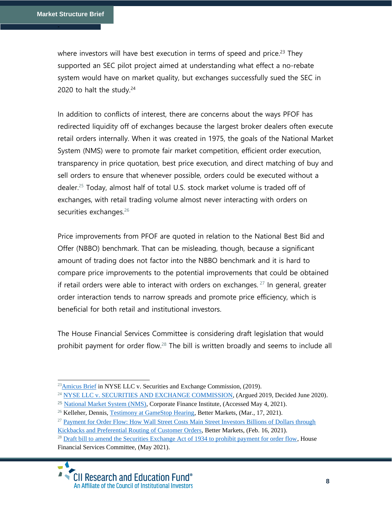where investors will have best execution in terms of speed and price.<sup>23</sup> They supported an SEC pilot project aimed at understanding what effect a no-rebate system would have on market quality, but exchanges successfully sued the SEC in 2020 to halt the study. $24$ 

In addition to conflicts of interest, there are concerns about the ways PFOF has redirected liquidity off of exchanges because the largest broker dealers often execute retail orders internally. When it was created in 1975, the goals of the National Market System (NMS) were to promote fair market competition, efficient order execution, transparency in price quotation, best price execution, and direct matching of buy and sell orders to ensure that whenever possible, orders could be executed without a dealer.<sup>25</sup> Today, almost half of total U.S. stock market volume is traded off of exchanges, with retail trading volume almost never interacting with orders on securities exchanges.<sup>26</sup>

Price improvements from PFOF are quoted in relation to the National Best Bid and Offer (NBBO) benchmark. That can be misleading, though, because a significant amount of trading does not factor into the NBBO benchmark and it is hard to compare price improvements to the potential improvements that could be obtained if retail orders were able to interact with orders on exchanges.  $27$  In general, greater order interaction tends to narrow spreads and promote price efficiency, which is beneficial for both retail and institutional investors.

The House Financial Services Committee is considering draft legislation that would prohibit payment for order flow.<sup>28</sup> The bill is written broadly and seems to include all

 $^{28}$  [Draft bill to amend the Securities Exchange Act of 1934 to prohibit payment for order flow,](https://financialservices.house.gov/uploadedfiles/5.06.2021_bills-1171pih-actof2021-order.flow.pdf) House Financial Services Committee, (May 2021).



 $^{23}$ [Amicus Brief](https://www.cii.org/files/issues_and_advocacy/correspondence/2019/ICICII%20Final%20Brief.pdf) in NYSE LLC v. Securities and Exchange Commission, (2019).

<sup>&</sup>lt;sup>24</sup> [NYSE LLC v. SECURITIES AND EXCHANGE COMMISSION,](https://www.leagle.com/decision/infco20200616133) (Argued 2019, Decided June 2020).

<sup>25</sup> [National Market System \(NMS\),](https://corporatefinanceinstitute.com/resources/knowledge/trading-investing/national-market-system-nms/) Corporate Finance Institute, (Accessed May 4, 2021).

 $^{26}$  Kelleher, Dennis, [Testimony at GameStop Hearing,](https://bettermarkets.com/sites/default/files/Kelleher%20HFSC%20Testimony%20GameStop%20Hearing%203-17-2021%20FINAL%20%282%29.pdf) Better Markets, (Mar., 17, 2021).

<sup>&</sup>lt;sup>27</sup> Payment for Order Flow: How Wall Street Costs Main Street Investors Billions of Dollars through [Kickbacks and Preferential Routing of Customer Orders,](https://bettermarkets.com/sites/default/files/documents/Better_Markets_Payment_for_Order_Flow_Long_02-21-2021.pdf) Better Markets, (Feb. 16, 2021).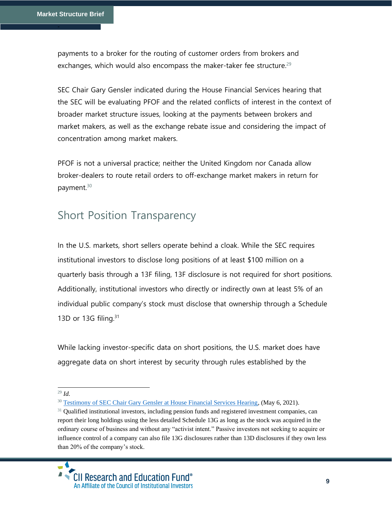payments to a broker for the routing of customer orders from brokers and exchanges, which would also encompass the maker-taker fee structure.<sup>29</sup>

SEC Chair Gary Gensler indicated during the House Financial Services hearing that the SEC will be evaluating PFOF and the related conflicts of interest in the context of broader market structure issues, looking at the payments between brokers and market makers, as well as the exchange rebate issue and considering the impact of concentration among market makers.

PFOF is not a universal practice; neither the United Kingdom nor Canada allow broker-dealers to route retail orders to off-exchange market makers in return for payment. 30

# Short Position Transparency

In the U.S. markets, short sellers operate behind a cloak. While the SEC requires institutional investors to disclose long positions of at least \$100 million on a quarterly basis through a 13F filing, 13F disclosure is not required for short positions. Additionally, institutional investors who directly or indirectly own at least 5% of an individual public company's stock must disclose that ownership through a Schedule 13D or 13G filing. $31$ 

While lacking investor-specific data on short positions, the U.S. market does have aggregate data on short interest by security through rules established by the

<sup>29</sup> *Id.*

<sup>&</sup>lt;sup>30</sup> [Testimony of SEC Chair Gary Gensler at House Financial Services Hearing,](https://docs.house.gov/meetings/BA/BA00/20210506/112590/HHRG-117-BA00-Wstate-GenslerG-20210506.pdf) (May 6, 2021).

 $31$  Qualified institutional investors, including pension funds and registered investment companies, can report their long holdings using the less detailed Schedule 13G as long as the stock was acquired in the ordinary course of business and without any "activist intent." Passive investors not seeking to acquire or influence control of a company can also file 13G disclosures rather than 13D disclosures if they own less than 20% of the company's stock.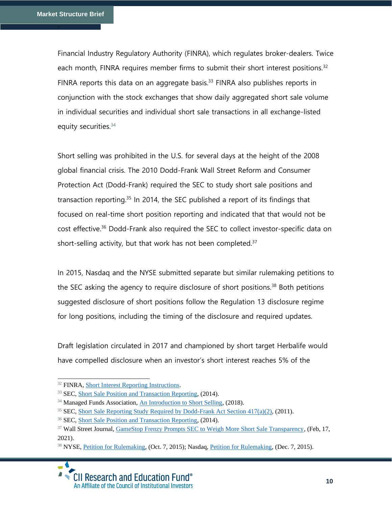Financial Industry Regulatory Authority (FINRA), which regulates broker-dealers. Twice each month, FINRA requires member firms to submit their short interest positions.<sup>32</sup> FINRA reports this data on an aggregate basis.<sup>33</sup> FINRA also publishes reports in conjunction with the stock exchanges that show daily aggregated short sale volume in individual securities and individual short sale transactions in all exchange-listed equity securities.<sup>34</sup>

Short selling was prohibited in the U.S. for several days at the height of the 2008 global financial crisis. The 2010 Dodd-Frank Wall Street Reform and Consumer Protection Act (Dodd-Frank) required the SEC to study short sale positions and transaction reporting.<sup>35</sup> In 2014, the SEC published a report of its findings that focused on real-time short position reporting and indicated that that would not be cost effective.<sup>36</sup> Dodd-Frank also required the SEC to collect investor-specific data on short-selling activity, but that work has not been completed. $37$ 

In 2015, Nasdaq and the NYSE submitted separate but similar rulemaking petitions to the SEC asking the agency to require disclosure of short positions.<sup>38</sup> Both petitions suggested disclosure of short positions follow the Regulation 13 disclosure regime for long positions, including the timing of the disclosure and required updates.

Draft legislation circulated in 2017 and championed by short target Herbalife would have compelled disclosure when an investor's short interest reaches 5% of the

<sup>&</sup>lt;sup>38</sup> NYSE, [Petition for Rulemaking,](https://www.sec.gov/rules/petitions/2015/petn4-691.pdf) (Oct. 7, 2015); Nasdaq, Petition for Rulemaking, (Dec. 7, 2015).



<sup>32</sup> FINRA, [Short Interest Reporting Instructions.](https://www.finra.org/filing-reporting/short-interest/regulation-filing-applications-instructions)

<sup>&</sup>lt;sup>33</sup> SEC, [Short Sale Position and Transaction Reporting,](https://www.sec.gov/files/short-sale-position-and-transaction-reporting%2C0.pdf) (2014).

<sup>&</sup>lt;sup>34</sup> Managed Funds Association, [An Introduction to Short Selling,](https://www.managedfunds.org/wp-content/uploads/2021/02/2021-Short-Selling-WP-Update.pdf) (2018).

<sup>&</sup>lt;sup>35</sup> SEC, [Short Sale Reporting Study Required by Dodd-Frank Act Section 417\(a\)\(2\),](https://www.sec.gov/rules/other/2011/34-64383.pdf) (2011).

<sup>36</sup> SEC, [Short Sale Position and Transaction Reporting,](https://www.sec.gov/files/short-sale-position-and-transaction-reporting%2C0.pdf) (2014).

<sup>&</sup>lt;sup>37</sup> Wall Street Journal, [GameStop Frenzy Prompts SEC to Weigh More Short Sale Transparency,](https://www.wsj.com/articles/gamestop-frenzy-prompts-sec-to-weigh-more-short-sale-transparency-11613593827) (Feb, 17, 2021).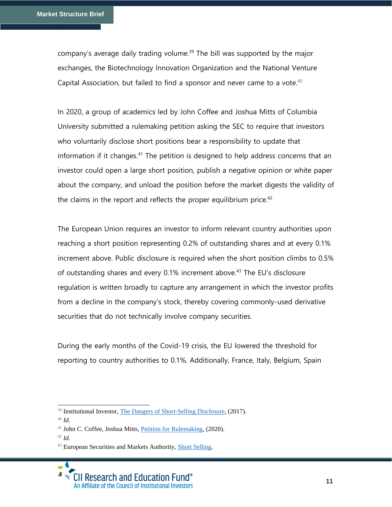company's average daily trading volume.<sup>39</sup> The bill was supported by the major exchanges, the Biotechnology Innovation Organization and the National Venture Capital Association, but failed to find a sponsor and never came to a vote. $40$ 

In 2020, a group of academics led by John Coffee and Joshua Mitts of Columbia University submitted a rulemaking petition asking the SEC to require that investors who voluntarily disclose short positions bear a responsibility to update that information if it changes.<sup>41</sup> The petition is designed to help address concerns that an investor could open a large short position, publish a negative opinion or white paper about the company, and unload the position before the market digests the validity of the claims in the report and reflects the proper equilibrium price. $42$ 

The European Union requires an investor to inform relevant country authorities upon reaching a short position representing 0.2% of outstanding shares and at every 0.1% increment above. Public disclosure is required when the short position climbs to 0.5% of outstanding shares and every 0.1% increment above.<sup>43</sup> The EU's disclosure regulation is written broadly to capture any arrangement in which the investor profits from a decline in the company's stock, thereby covering commonly-used derivative securities that do not technically involve company securities.

During the early months of the Covid-19 crisis, the EU lowered the threshold for reporting to country authorities to 0.1%. Additionally, France, Italy, Belgium, Spain

<sup>42</sup> *Id.*

<sup>&</sup>lt;sup>39</sup> Institutional Investor, The [Dangers of Short-Selling Disclosure,](https://www.institutionalinvestor.com/article/b17jxns6qv5y3r/the-dangers-of-short-selling-disclosure) (2017).

<sup>40</sup> *Id.*

<sup>&</sup>lt;sup>41</sup> John C. Coffee, Joshua Mitts, [Petition for Rulemaking,](https://www.sec.gov/rules/petitions/2020/petn4-758.pdf) (2020).

<sup>43</sup> European Securities and Markets Authority, [Short Selling.](https://www.esma.europa.eu/regulation/trading/short-selling)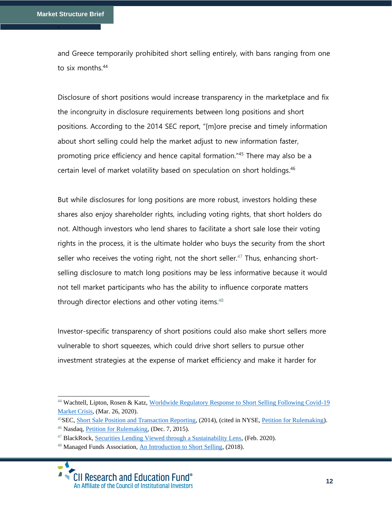and Greece temporarily prohibited short selling entirely, with bans ranging from one to six months.<sup>44</sup>

Disclosure of short positions would increase transparency in the marketplace and fix the incongruity in disclosure requirements between long positions and short positions. According to the 2014 SEC report, "[m]ore precise and timely information about short selling could help the market adjust to new information faster, promoting price efficiency and hence capital formation."<sup>45</sup> There may also be a certain level of market volatility based on speculation on short holdings.<sup>46</sup>

But while disclosures for long positions are more robust, investors holding these shares also enjoy shareholder rights, including voting rights, that short holders do not. Although investors who lend shares to facilitate a short sale lose their voting rights in the process, it is the ultimate holder who buys the security from the short seller who receives the voting right, not the short seller.<sup>47</sup> Thus, enhancing shortselling disclosure to match long positions may be less informative because it would not tell market participants who has the ability to influence corporate matters through director elections and other voting items.<sup>48</sup>

Investor-specific transparency of short positions could also make short sellers more vulnerable to short squeezes, which could drive short sellers to pursue other investment strategies at the expense of market efficiency and make it harder for

<sup>&</sup>lt;sup>44</sup> Wachtell, Lipton, Rosen & Katz, Worldwide Regulatory Response to Short Selling Following Covid-19 [Market Crisis,](https://corpgov.law.harvard.edu/2020/03/26/worldwide-regulatory-response-to-short-selling-following-covid-19-market-crisis/) (Mar. 26, 2020).

<sup>&</sup>lt;sup>45</sup>SEC, [Short Sale Position and Transaction Reporting,](https://www.sec.gov/files/short-sale-position-and-transaction-reporting%2C0.pdf)  $(2014)$ , (cited in NYSE, [Petition for Rulemaking\)](https://www.sec.gov/rules/petitions/2015/petn4-689.pdf).

<sup>46</sup> Nasdaq, [Petition for Rulemaking,](https://www.sec.gov/rules/petitions/2015/petn4-691.pdf) (Dec. 7, 2015).

<sup>&</sup>lt;sup>47</sup> BlackRock, [Securities Lending Viewed through a Sustainability Lens,](https://www.blackrock.com/corporate/literature/publication/securities-lending-viewed-through-the-sustainability-lens.pdf) (Feb. 2020).

<sup>48</sup> Managed Funds Association, [An Introduction to Short Selling,](https://www.managedfunds.org/wp-content/uploads/2021/02/2021-Short-Selling-WP-Update.pdf) (2018).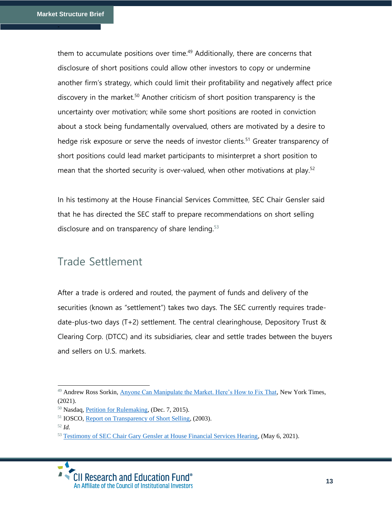them to accumulate positions over time.<sup>49</sup> Additionally, there are concerns that disclosure of short positions could allow other investors to copy or undermine another firm's strategy, which could limit their profitability and negatively affect price discovery in the market. <sup>50</sup> Another criticism of short position transparency is the uncertainty over motivation; while some short positions are rooted in conviction about a stock being fundamentally overvalued, others are motivated by a desire to hedge risk exposure or serve the needs of investor clients.<sup>51</sup> Greater transparency of short positions could lead market participants to misinterpret a short position to mean that the shorted security is over-valued, when other motivations at play.<sup>52</sup>

In his testimony at the House Financial Services Committee, SEC Chair Gensler said that he has directed the SEC staff to prepare recommendations on short selling disclosure and on transparency of share lending.<sup>53</sup>

# Trade Settlement

After a trade is ordered and routed, the payment of funds and delivery of the securities (known as "settlement") takes two days. The SEC currently requires tradedate-plus-two days (T+2) settlement. The central clearinghouse, Depository Trust & Clearing Corp. (DTCC) and its subsidiaries, clear and settle trades between the buyers and sellers on U.S. markets.

<sup>&</sup>lt;sup>53</sup> [Testimony of SEC Chair Gary Gensler at House Financial Services Hearing,](https://docs.house.gov/meetings/BA/BA00/20210506/112590/HHRG-117-BA00-Wstate-GenslerG-20210506.pdf) (May 6, 2021).



<sup>&</sup>lt;sup>49</sup> Andrew Ross Sorkin, [Anyone Can Manipulate the Market. Here's How to Fix That,](https://www.nytimes.com/2021/02/02/business/dealbook/gamestop-markets-trust.html) New York Times,  $(2021)$ .

<sup>50</sup> Nasdaq, [Petition for Rulemaking,](https://www.sec.gov/rules/petitions/2015/petn4-691.pdf) (Dec. 7, 2015).

<sup>51</sup> IOSCO, [Report on Transparency of Short Selling,](https://www.iosco.org/library/pubdocs/pdf/IOSCOPD147.pdf) (2003).

<sup>52</sup> *Id.*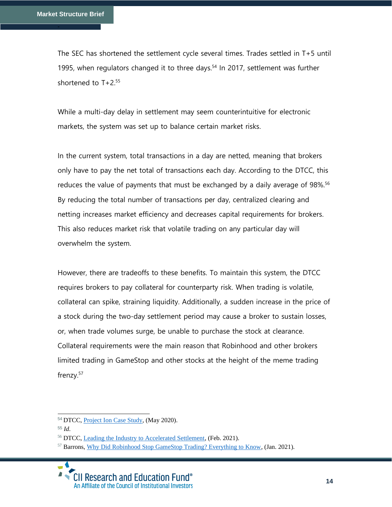The SEC has shortened the settlement cycle several times. Trades settled in T+5 until 1995, when regulators changed it to three days. <sup>54</sup> In 2017, settlement was further shortened to T+2.<sup>55</sup>

While a multi-day delay in settlement may seem counterintuitive for electronic markets, the system was set up to balance certain market risks.

In the current system, total transactions in a day are netted, meaning that brokers only have to pay the net total of transactions each day. According to the DTCC, this reduces the value of payments that must be exchanged by a daily average of 98%.<sup>56</sup> By reducing the total number of transactions per day, centralized clearing and netting increases market efficiency and decreases capital requirements for brokers. This also reduces market risk that volatile trading on any particular day will overwhelm the system.

However, there are tradeoffs to these benefits. To maintain this system, the DTCC requires brokers to pay collateral for counterparty risk. When trading is volatile, collateral can spike, straining liquidity. Additionally, a sudden increase in the price of a stock during the two-day settlement period may cause a broker to sustain losses, or, when trade volumes surge, be unable to purchase the stock at clearance. Collateral requirements were the main reason that Robinhood and other brokers limited trading in GameStop and other stocks at the height of the meme trading frenzy. 57

<sup>54</sup> DTCC[, Project Ion Case Study,](https://www.dtcc.com/~/media/Files/Downloads/settlement-asset-services/user-documentation/Project-ION-Paper-2020.pdf.) (May 2020).

<sup>55</sup> *Id.*

<sup>56</sup> DTCC[, Leading the Industry to Accelerated Settlement,](https://perspectives.dtcc.com/articles/leading-the-industry-to-accelerated-settlement?utm_source=dtcc.com&utm_medium=press-release&utm_campaign=accelerated_settlement) (Feb. 2021).

<sup>57</sup> Barrons[, Why Did Robinhood Stop GameStop Trading? Everything to Know,](https://www.barrons.com/articles/why-did-robinhood-stop-gamestop-trading-51611967696) (Jan. 2021).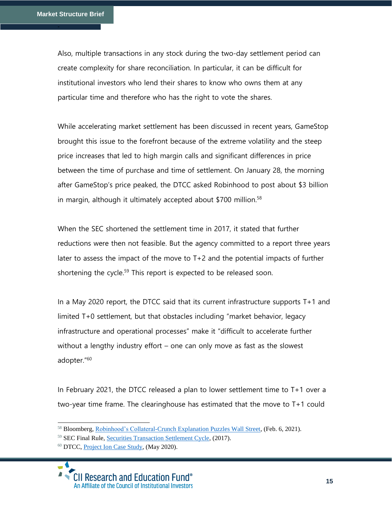Also, multiple transactions in any stock during the two-day settlement period can create complexity for share reconciliation. In particular, it can be difficult for institutional investors who lend their shares to know who owns them at any particular time and therefore who has the right to vote the shares.

While accelerating market settlement has been discussed in recent years, GameStop brought this issue to the forefront because of the extreme volatility and the steep price increases that led to high margin calls and significant differences in price between the time of purchase and time of settlement. On January 28, the morning after GameStop's price peaked, the DTCC asked Robinhood to post about \$3 billion in margin, although it ultimately accepted about \$700 million.<sup>58</sup>

When the SEC shortened the settlement time in 2017, it stated that further reductions were then not feasible. But the agency committed to a report three years later to assess the impact of the move to T+2 and the potential impacts of further shortening the cycle.<sup>59</sup> This report is expected to be released soon.

In a May 2020 report, the DTCC said that its current infrastructure supports T+1 and limited T+0 settlement, but that obstacles including "market behavior, legacy infrastructure and operational processes" make it "difficult to accelerate further without a lengthy industry effort – one can only move as fast as the slowest adopter."<sup>60</sup>

In February 2021, the DTCC released a plan to lower settlement time to T+1 over a two-year time frame. The clearinghouse has estimated that the move to T+1 could

<sup>58</sup> Bloomberg, [Robinhood's Collateral-Crunch Explanation Puzzles Wall Street,](https://www.bloomberg.com/news/articles/2021-02-06/robinhood-s-collateral-crunch-explanation-puzzles-wall-street?sref=RSguTU4K) (Feb. 6, 2021).

<sup>59</sup> SEC Final Rule, [Securities Transaction Settlement Cycle,](https://www.sec.gov/rules/final/2017/34-80295.pdf) (2017).

<sup>60</sup> DTCC[, Project Ion Case Study,](https://www.dtcc.com/~/media/Files/Downloads/settlement-asset-services/user-documentation/Project-ION-Paper-2020.pdf.) (May 2020).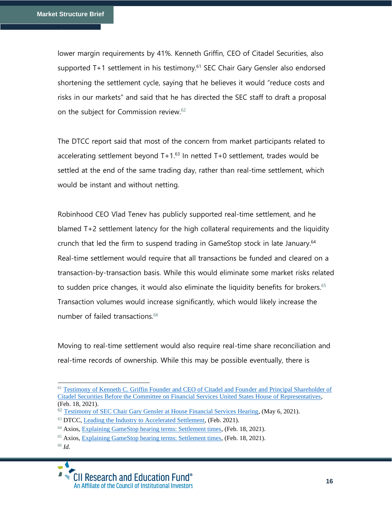lower margin requirements by 41%. Kenneth Griffin, CEO of Citadel Securities, also supported T+1 settlement in his testimony.<sup>61</sup> SEC Chair Gary Gensler also endorsed shortening the settlement cycle, saying that he believes it would "reduce costs and risks in our markets" and said that he has directed the SEC staff to draft a proposal on the subject for Commission review.<sup>62</sup>

The DTCC report said that most of the concern from market participants related to accelerating settlement beyond  $T+1.63$  In netted  $T+0$  settlement, trades would be settled at the end of the same trading day, rather than real-time settlement, which would be instant and without netting.

Robinhood CEO Vlad Tenev has publicly supported real-time settlement, and he blamed T+2 settlement latency for the high collateral requirements and the liquidity crunch that led the firm to suspend trading in GameStop stock in late January. 64 Real-time settlement would require that all transactions be funded and cleared on a transaction-by-transaction basis. While this would eliminate some market risks related to sudden price changes, it would also eliminate the liquidity benefits for brokers.<sup>65</sup> Transaction volumes would increase significantly, which would likely increase the number of failed transactions.<sup>66</sup>

Moving to real-time settlement would also require real-time share reconciliation and real-time records of ownership. While this may be possible eventually, there is

<sup>66</sup> *Id.*



<sup>61</sup> [Testimony of Kenneth C. Griffin Founder and CEO of Citadel and Founder and Principal Shareholder of](file:///C:/Users/kenbe/Downloads/,%20https:/financialservices.house.gov/uploadedfiles/hhrg-117-ba00-wstate-griffink-20210218.pdf)  [Citadel Securities Before the Committee on Financial Services United States House of Representatives,](file:///C:/Users/kenbe/Downloads/,%20https:/financialservices.house.gov/uploadedfiles/hhrg-117-ba00-wstate-griffink-20210218.pdf) (Feb. 18, 2021).

<sup>&</sup>lt;sup>62</sup> [Testimony of SEC Chair Gary Gensler at House Financial Services Hearing,](https://docs.house.gov/meetings/BA/BA00/20210506/112590/HHRG-117-BA00-Wstate-GenslerG-20210506.pdf) (May 6, 2021).

 $63$  DTCC[, Leading the Industry to Accelerated Settlement,](https://perspectives.dtcc.com/articles/leading-the-industry-to-accelerated-settlement?utm_source=dtcc.com&utm_medium=press-release&utm_campaign=accelerated_settlement) (Feb. 2021).

<sup>64</sup> Axios, [Explaining GameStop hearing terms: Settlement times,](https://www.axios.com/gamestop-hearing-settlement-time-4643739d-0b73-482c-b186-b72d8204684e.html) (Feb. 18, 2021).

<sup>65</sup> Axios, [Explaining GameStop hearing terms: Settlement times,](https://www.axios.com/gamestop-hearing-settlement-time-4643739d-0b73-482c-b186-b72d8204684e.html) (Feb. 18, 2021).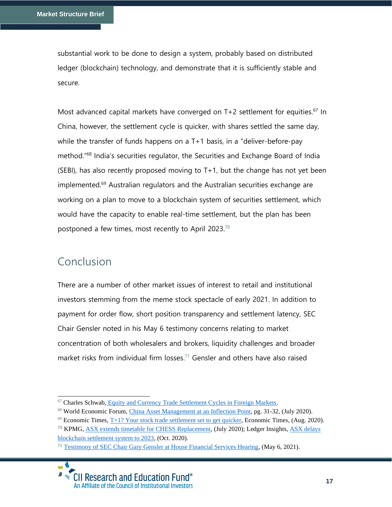substantial work to be done to design a system, probably based on distributed ledger (blockchain) technology, and demonstrate that it is sufficiently stable and secure.

Most advanced capital markets have converged on  $T+2$  settlement for equities.<sup>67</sup> In China, however, the settlement cycle is quicker, with shares settled the same day, while the transfer of funds happens on a T+1 basis, in a "deliver-before-pay method."<sup>68</sup> India's securities regulator, the Securities and Exchange Board of India  $(SEBI)$ , has also recently proposed moving to  $T+1$ , but the change has not yet been implemented. <sup>69</sup> Australian regulators and the Australian securities exchange are working on a plan to move to a blockchain system of securities settlement, which would have the capacity to enable real-time settlement, but the plan has been postponed a few times, most recently to April 2023.<sup>70</sup>

# Conclusion

There are a number of other market issues of interest to retail and institutional investors stemming from the meme stock spectacle of early 2021. In addition to payment for order flow, short position transparency and settlement latency, SEC Chair Gensler noted in his May 6 testimony concerns relating to market concentration of both wholesalers and brokers, liquidity challenges and broader market risks from individual firm losses. <sup>71</sup> Gensler and others have also raised

<sup>67</sup> Charles Schwab, [Equity and Currency Trade Settlement Cycles in Foreign Markets.](https://www.schwab.com/public/file/P-5367992/SLS112417-00_SettlementCycles_SalesSheet.pdf)

<sup>&</sup>lt;sup>68</sup> World Economic Forum, *China Asset Management at an Inflection Point*, pg. 31-32, (July 2020).

 $^{69}$  Economic Times, [T+1? Your stock trade settlement set to get quicker,](https://economictimes.indiatimes.com/markets/stocks/news/t1-your-stock-trade-settlement-set-to-get-quicker/articleshow/77582864.cms) Economic Times, (Aug. 2020).

<sup>&</sup>lt;sup>70</sup> KPMG, [ASX extends timetable for CHESS Replacement,](https://home.kpmg/au/en/home/insights/2020/07/asx-update-chess-replacement.html) (July 2020); Ledger Insights, ASX delays [blockchain settlement system to 2023,](https://www.ledgerinsights.com/asx-delays-blockchain-settlement-system-chess/) (Oct. 2020).

<sup>&</sup>lt;sup>71</sup> [Testimony of SEC Chair Gary Gensler at House Financial Services Hearing,](https://docs.house.gov/meetings/BA/BA00/20210506/112590/HHRG-117-BA00-Wstate-GenslerG-20210506.pdf) (May 6, 2021).